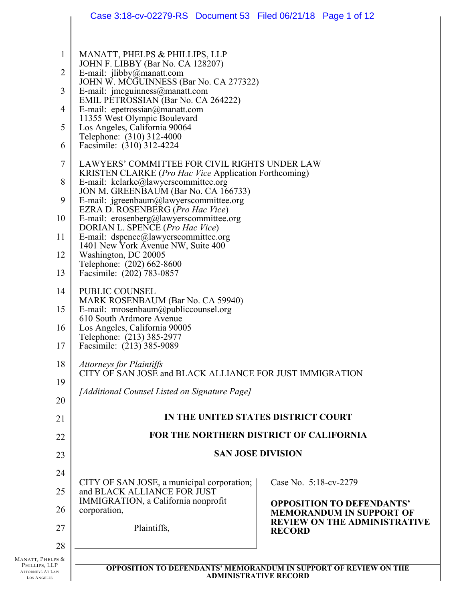|                                                              | Case 3:18-cv-02279-RS Document 53 Filed 06/21/18 Page 1 of 12                                                                                                                                                                                                                |                                                                         |  |
|--------------------------------------------------------------|------------------------------------------------------------------------------------------------------------------------------------------------------------------------------------------------------------------------------------------------------------------------------|-------------------------------------------------------------------------|--|
| $\mathbf{1}$<br>$\overline{2}$<br>3<br>$\overline{4}$        | MANATT, PHELPS & PHILLIPS, LLP<br>JOHN F. LIBBY (Bar No. CA 128207)<br>E-mail: $jlibby@manatt.com$<br>JOHN W. MCGUINNESS (Bar No. CA 277322)<br>E-mail: $\text{imeguinness}(\partial_t)$ manatt.com<br>EMIL PETROSSIAN (Bar No. CA 264222)<br>E-mail: epetrossian@manatt.com |                                                                         |  |
| 5                                                            | 11355 West Olympic Boulevard<br>Los Angeles, California 90064                                                                                                                                                                                                                |                                                                         |  |
| 6                                                            | Telephone: (310) 312-4000<br>Facsimile: (310) 312-4224                                                                                                                                                                                                                       |                                                                         |  |
| 7                                                            | LAWYERS' COMMITTEE FOR CIVIL RIGHTS UNDER LAW<br>KRISTEN CLARKE (Pro Hac Vice Application Forthcoming)                                                                                                                                                                       |                                                                         |  |
| 8<br>9                                                       | E-mail: kclarke@lawyerscommittee.org<br>JON M. GREENBAUM (Bar No. CA 166733)<br>E-mail: jgreenbaum@lawyerscommittee.org                                                                                                                                                      |                                                                         |  |
| 10                                                           | EZRA D. ROSENBERG (Pro Hac Vice)<br>E-mail: erosenberg@lawyerscommittee.org                                                                                                                                                                                                  |                                                                         |  |
| 11                                                           | DORIAN L. SPENCE (Pro Hac Vice)<br>E-mail: dspence@lawyerscommittee.org                                                                                                                                                                                                      |                                                                         |  |
| 12                                                           | 1401 New York Avenue NW, Suite 400<br>Washington, DC 20005                                                                                                                                                                                                                   |                                                                         |  |
| 13                                                           | Telephone: (202) 662-8600<br>Facsimile: (202) 783-0857                                                                                                                                                                                                                       |                                                                         |  |
| 14                                                           | PUBLIC COUNSEL                                                                                                                                                                                                                                                               |                                                                         |  |
| 15                                                           | MARK ROSENBAUM (Bar No. CA 59940)<br>E-mail: mrosenbaum@publiccounsel.org<br>610 South Ardmore Avenue                                                                                                                                                                        |                                                                         |  |
| 16<br>17                                                     | Los Angeles, California 90005<br>Telephone: (213) 385-2977<br>Facsimile: (213) 385-9089                                                                                                                                                                                      |                                                                         |  |
| 18                                                           | <b>Attorneys for Plaintiffs</b>                                                                                                                                                                                                                                              |                                                                         |  |
| 19                                                           | CITY OF SAN JOSE and BLACK ALLIANCE FOR JUST IMMIGRATION                                                                                                                                                                                                                     |                                                                         |  |
| 20                                                           | [Additional Counsel Listed on Signature Page]                                                                                                                                                                                                                                |                                                                         |  |
| 21                                                           | IN THE UNITED STATES DISTRICT COURT                                                                                                                                                                                                                                          |                                                                         |  |
| 22                                                           | FOR THE NORTHERN DISTRICT OF CALIFORNIA                                                                                                                                                                                                                                      |                                                                         |  |
| 23                                                           | <b>SAN JOSE DIVISION</b>                                                                                                                                                                                                                                                     |                                                                         |  |
| 24                                                           |                                                                                                                                                                                                                                                                              | Case No. 5:18-cv-2279                                                   |  |
| 25                                                           | CITY OF SAN JOSE, a municipal corporation;<br>and BLACK ALLIANCE FOR JUST                                                                                                                                                                                                    |                                                                         |  |
| 26                                                           | IMMIGRATION, a California nonprofit<br>corporation,                                                                                                                                                                                                                          | <b>OPPOSITION TO DEFENDANTS'</b><br><b>MEMORANDUM IN SUPPORT OF</b>     |  |
| 27                                                           | Plaintiffs,                                                                                                                                                                                                                                                                  | <b>REVIEW ON THE ADMINISTRATIVE</b><br><b>RECORD</b>                    |  |
| 28                                                           |                                                                                                                                                                                                                                                                              |                                                                         |  |
| Manatt, Phelps &<br>PHILLIPS, LLP<br><b>ATTORNEYS AT LAW</b> |                                                                                                                                                                                                                                                                              | <b>OPPOSITION TO DEFENDANTS' MEMORANDUM IN SUPPORT OF REVIEW ON THE</b> |  |
| <b>LOS ANGELES</b>                                           | <b>ADMINISTRATIVE RECORD</b>                                                                                                                                                                                                                                                 |                                                                         |  |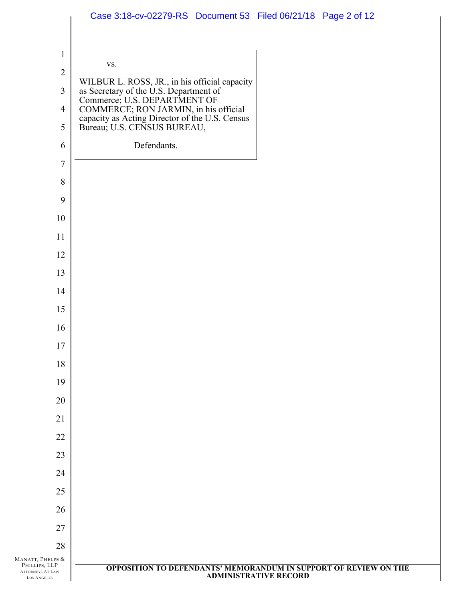|                                                                | Case 3:18-cv-02279-RS Document 53 Filed 06/21/18 Page 2 of 12                                                                                                                                                                                 |
|----------------------------------------------------------------|-----------------------------------------------------------------------------------------------------------------------------------------------------------------------------------------------------------------------------------------------|
|                                                                |                                                                                                                                                                                                                                               |
| $\mathbf{1}$                                                   |                                                                                                                                                                                                                                               |
| $\sqrt{2}$                                                     | VS.                                                                                                                                                                                                                                           |
| $\overline{3}$                                                 |                                                                                                                                                                                                                                               |
| $\overline{4}$                                                 | WILBUR L. ROSS, JR., in his official capacity<br>as Secretary of the U.S. Department of<br>Commerce; U.S. DEPARTMENT OF<br>COMMERCE; RON JARMIN, in his official<br>capacity as Acting Director of the U.S. Census<br>Bureau; U.S. CENSUS BUR |
| 5                                                              |                                                                                                                                                                                                                                               |
| 6                                                              | Defendants.                                                                                                                                                                                                                                   |
| $\tau$                                                         |                                                                                                                                                                                                                                               |
| 8                                                              |                                                                                                                                                                                                                                               |
| 9                                                              |                                                                                                                                                                                                                                               |
| 10                                                             |                                                                                                                                                                                                                                               |
| 11                                                             |                                                                                                                                                                                                                                               |
| 12                                                             |                                                                                                                                                                                                                                               |
| 13                                                             |                                                                                                                                                                                                                                               |
| 14                                                             |                                                                                                                                                                                                                                               |
| 15                                                             |                                                                                                                                                                                                                                               |
| 16                                                             |                                                                                                                                                                                                                                               |
| $17\,$                                                         |                                                                                                                                                                                                                                               |
| 18                                                             |                                                                                                                                                                                                                                               |
| 19                                                             |                                                                                                                                                                                                                                               |
| 20                                                             |                                                                                                                                                                                                                                               |
| 21                                                             |                                                                                                                                                                                                                                               |
| 22                                                             |                                                                                                                                                                                                                                               |
| 23                                                             |                                                                                                                                                                                                                                               |
| 24                                                             |                                                                                                                                                                                                                                               |
| 25                                                             |                                                                                                                                                                                                                                               |
| 26                                                             |                                                                                                                                                                                                                                               |
| 27                                                             |                                                                                                                                                                                                                                               |
| 28<br>MANATT, PHELPS &                                         |                                                                                                                                                                                                                                               |
| PHILLIPS, LLP<br><b>ATTORNEYS AT LAW</b><br><b>LOS ANGELES</b> | OPPOSITION TO DEFENDANTS' MEMORANDUM IN SUPPORT OF REVIEW ON THE<br><b>ADMINISTRATIVE RECORD</b>                                                                                                                                              |
|                                                                |                                                                                                                                                                                                                                               |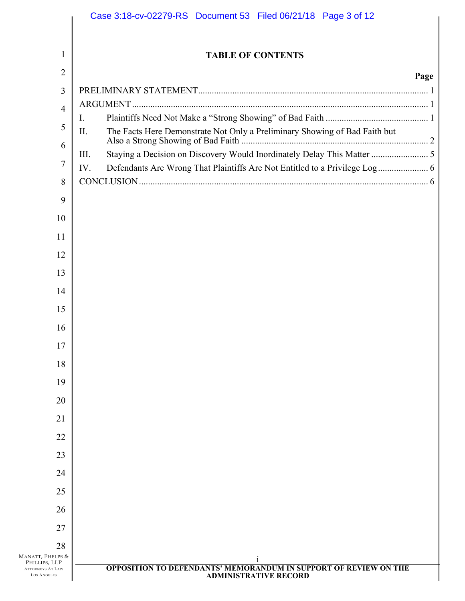|                                               | Case 3:18-cv-02279-RS Document 53 Filed 06/21/18 Page 3 of 12                                           |      |
|-----------------------------------------------|---------------------------------------------------------------------------------------------------------|------|
| 1                                             | <b>TABLE OF CONTENTS</b>                                                                                |      |
| $\overline{2}$                                |                                                                                                         | Page |
| 3                                             |                                                                                                         |      |
| 4                                             |                                                                                                         |      |
| 5                                             | 1.<br>The Facts Here Demonstrate Not Only a Preliminary Showing of Bad Faith but<br>II.                 |      |
| 6                                             |                                                                                                         |      |
| 7                                             | Staying a Decision on Discovery Would Inordinately Delay This Matter  5<br>III.<br>IV.                  |      |
| 8                                             |                                                                                                         |      |
| 9                                             |                                                                                                         |      |
| 10                                            |                                                                                                         |      |
| 11                                            |                                                                                                         |      |
| 12                                            |                                                                                                         |      |
| 13                                            |                                                                                                         |      |
| 14                                            |                                                                                                         |      |
| 15                                            |                                                                                                         |      |
| 16                                            |                                                                                                         |      |
| 17                                            |                                                                                                         |      |
| 18                                            |                                                                                                         |      |
| 19                                            |                                                                                                         |      |
| 20                                            |                                                                                                         |      |
| 21                                            |                                                                                                         |      |
| 22                                            |                                                                                                         |      |
| 23                                            |                                                                                                         |      |
| 24                                            |                                                                                                         |      |
| 25                                            |                                                                                                         |      |
| 26                                            |                                                                                                         |      |
| 27                                            |                                                                                                         |      |
| 28                                            |                                                                                                         |      |
| MANATT, PHELPS &<br>PHILLIPS, LLP             |                                                                                                         |      |
| <b>ATTORNEYS AT LAW</b><br><b>LOS ANGELES</b> | <b>OPPOSITION TO DEFENDANTS' MEMORANDUM IN SUPPORT OF REVIEW ON THE</b><br><b>ADMINISTRATIVE RECORD</b> |      |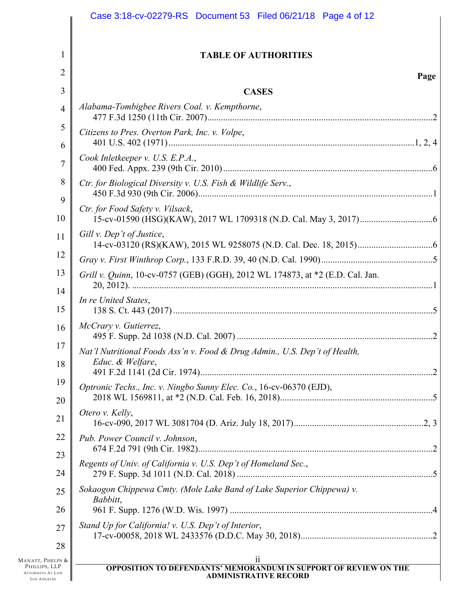|                                                                                    | Case 3:18-cv-02279-RS Document 53 Filed 06/21/18 Page 4 of 12                                                 |
|------------------------------------------------------------------------------------|---------------------------------------------------------------------------------------------------------------|
| 1                                                                                  | <b>TABLE OF AUTHORITIES</b>                                                                                   |
| $\overline{2}$                                                                     |                                                                                                               |
|                                                                                    | Page                                                                                                          |
| 3                                                                                  | <b>CASES</b><br>Alabama-Tombigbee Rivers Coal. v. Kempthorne,                                                 |
| $\overline{4}$                                                                     |                                                                                                               |
| 5                                                                                  | Citizens to Pres. Overton Park, Inc. v. Volpe,                                                                |
| 6<br>$\overline{7}$                                                                | Cook Inletkeeper v. U.S. E.P.A.,                                                                              |
| 8                                                                                  | Ctr. for Biological Diversity v. U.S. Fish & Wildlife Serv.,                                                  |
| 9<br>10                                                                            | Ctr. for Food Safety v. Vilsack,                                                                              |
| 11                                                                                 | Gill v. Dep't of Justice,                                                                                     |
| 12                                                                                 |                                                                                                               |
| 13                                                                                 | Grill v. Quinn, 10-cv-0757 (GEB) (GGH), 2012 WL 174873, at *2 (E.D. Cal. Jan.                                 |
| 14<br>15                                                                           | In re United States,                                                                                          |
| 16                                                                                 | McCrary v. Gutierrez,                                                                                         |
| 17<br>18                                                                           | Nat'l Nutritional Foods Ass'n v. Food & Drug Admin., U.S. Dep't of Health,<br>Educ. & Welfare,                |
| 19                                                                                 | Optronic Techs., Inc. v. Ningbo Sunny Elec. Co., 16-cv-06370 (EJD),                                           |
| 20                                                                                 |                                                                                                               |
| 21                                                                                 | Otero v. Kelly,                                                                                               |
| 22                                                                                 | Pub. Power Council v. Johnson,                                                                                |
| 23                                                                                 |                                                                                                               |
| 24                                                                                 | Regents of Univ. of California v. U.S. Dep't of Homeland Sec.,                                                |
| 25                                                                                 | Sokaogon Chippewa Cmty. (Mole Lake Band of Lake Superior Chippewa) v.<br>Babbitt,                             |
| 26                                                                                 |                                                                                                               |
| 27                                                                                 | Stand Up for California! v. U.S. Dep't of Interior,                                                           |
| 28                                                                                 |                                                                                                               |
| Manatt, Phelps &<br>PHILLIPS, LLP<br><b>ATTORNEYS AT LAW</b><br><b>LOS ANGELES</b> | 11<br><b>OPPOSITION TO DEFENDANTS' MEMORANDUM IN SUPPORT OF REVIEW ON THE</b><br><b>ADMINISTRATIVE RECORD</b> |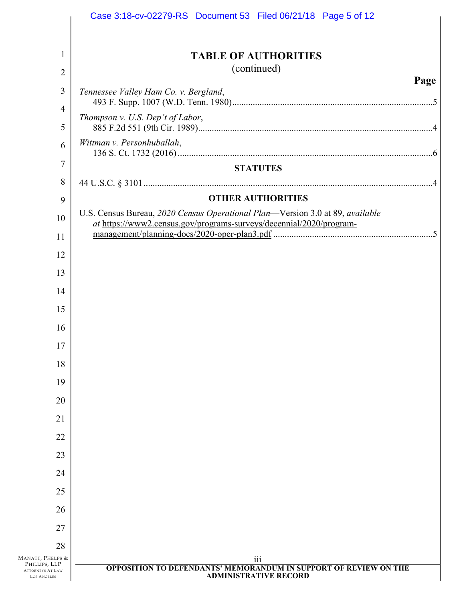|                                                                                    | Case 3:18-cv-02279-RS Document 53 Filed 06/21/18 Page 5 of 12                                                                                        |
|------------------------------------------------------------------------------------|------------------------------------------------------------------------------------------------------------------------------------------------------|
| 1                                                                                  | <b>TABLE OF AUTHORITIES</b>                                                                                                                          |
| $\overline{2}$                                                                     | (continued)                                                                                                                                          |
| $\mathfrak{Z}$                                                                     | Page<br>Tennessee Valley Ham Co. v. Bergland,                                                                                                        |
| $\overline{4}$                                                                     |                                                                                                                                                      |
| 5                                                                                  | Thompson v. U.S. Dep't of Labor,                                                                                                                     |
| 6                                                                                  | Wittman v. Personhuballah,                                                                                                                           |
| 7                                                                                  | <b>STATUTES</b>                                                                                                                                      |
| 8                                                                                  |                                                                                                                                                      |
| 9                                                                                  | <b>OTHER AUTHORITIES</b>                                                                                                                             |
| 10                                                                                 | U.S. Census Bureau, 2020 Census Operational Plan-Version 3.0 at 89, available<br>at https://www2.census.gov/programs-surveys/decennial/2020/program- |
| 11                                                                                 |                                                                                                                                                      |
| 12                                                                                 |                                                                                                                                                      |
| 13                                                                                 |                                                                                                                                                      |
| 14                                                                                 |                                                                                                                                                      |
| 15                                                                                 |                                                                                                                                                      |
| 16                                                                                 |                                                                                                                                                      |
| 17                                                                                 |                                                                                                                                                      |
| 18                                                                                 |                                                                                                                                                      |
| 19                                                                                 |                                                                                                                                                      |
| 20                                                                                 |                                                                                                                                                      |
| 21                                                                                 |                                                                                                                                                      |
| 22                                                                                 |                                                                                                                                                      |
| 23                                                                                 |                                                                                                                                                      |
| 24                                                                                 |                                                                                                                                                      |
| 25                                                                                 |                                                                                                                                                      |
| 26                                                                                 |                                                                                                                                                      |
| 27                                                                                 |                                                                                                                                                      |
| 28                                                                                 |                                                                                                                                                      |
| MANATT, PHELPS &<br>PHILLIPS, LLP<br><b>ATTORNEYS AT LAW</b><br><b>LOS ANGELES</b> | iii<br><b>OPPOSITION TO DEFENDANTS' MEMORANDUM IN SUPPORT OF REVIEW ON THE</b><br><b>ADMINISTRATIVE RECORD</b>                                       |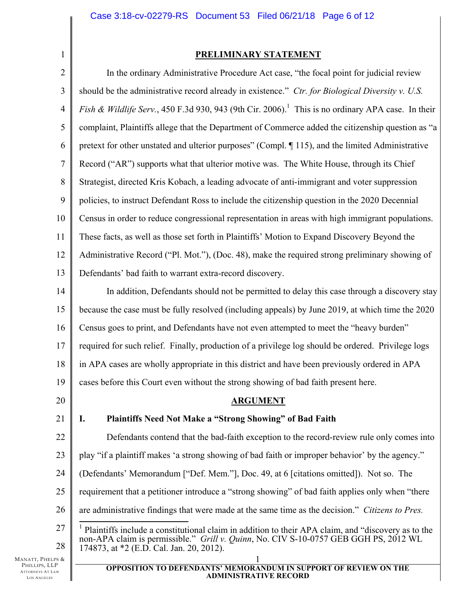2

1

# **PRELIMINARY STATEMENT**

3 4 5 6 7 8 9 10 11 12 13 In the ordinary Administrative Procedure Act case, "the focal point for judicial review should be the administrative record already in existence." *Ctr. for Biological Diversity v. U.S. Fish & Wildlife Serv.*, 450 F.3d 930, 943 (9th Cir. 2006).<sup>1</sup> This is no ordinary APA case. In their complaint, Plaintiffs allege that the Department of Commerce added the citizenship question as "a pretext for other unstated and ulterior purposes" (Compl. ¶ 115), and the limited Administrative Record ("AR") supports what that ulterior motive was. The White House, through its Chief Strategist, directed Kris Kobach, a leading advocate of anti-immigrant and voter suppression policies, to instruct Defendant Ross to include the citizenship question in the 2020 Decennial Census in order to reduce congressional representation in areas with high immigrant populations. These facts, as well as those set forth in Plaintiffs' Motion to Expand Discovery Beyond the Administrative Record ("Pl. Mot."), (Doc. 48), make the required strong preliminary showing of Defendants' bad faith to warrant extra-record discovery.

14 15 16 17 18 In addition, Defendants should not be permitted to delay this case through a discovery stay because the case must be fully resolved (including appeals) by June 2019, at which time the 2020 Census goes to print, and Defendants have not even attempted to meet the "heavy burden" required for such relief. Finally, production of a privilege log should be ordered. Privilege logs in APA cases are wholly appropriate in this district and have been previously ordered in APA

19 cases before this Court even without the strong showing of bad faith present here.

20

21

**ARGUMENT**

# **I. Plaintiffs Need Not Make a "Strong Showing" of Bad Faith**

22 23 Defendants contend that the bad-faith exception to the record-review rule only comes into play "if a plaintiff makes 'a strong showing of bad faith or improper behavior' by the agency."

- 24 (Defendants' Memorandum ["Def. Mem."], Doc. 49, at 6 [citations omitted]). Not so. The
- 25 requirement that a petitioner introduce a "strong showing" of bad faith applies only when "there
- 26 are administrative findings that were made at the same time as the decision." *Citizens to Pres.*
- 27 28  $\overline{a}$ <sup>1</sup> Plaintiffs include a constitutional claim in addition to their APA claim, and "discovery as to the non-APA claim is permissible." *Grill v. Quinn*, No. CIV S-10-0757 GEB GGH PS, 2012 WL 174873, at \*2 (E.D. Cal. Jan. 20, 2012).

MANATT, PHELPS & PHILLIPS, LLP ATTORNEYS AT LAW LOS ANGELES

### 1 **OPPOSITION TO DEFENDANTS' MEMORANDUM IN SUPPORT OF REVIEW ON THE ADMINISTRATIVE RECORD**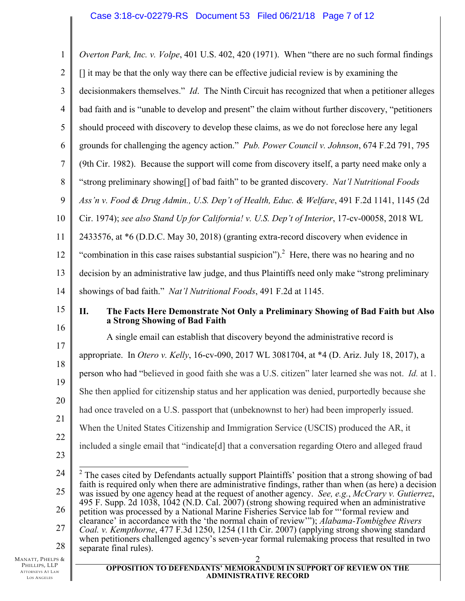| $\mathbf{1}$                                  | Overton Park, Inc. v. Volpe, 401 U.S. 402, 420 (1971). When "there are no such formal findings                                                                                                                        |  |
|-----------------------------------------------|-----------------------------------------------------------------------------------------------------------------------------------------------------------------------------------------------------------------------|--|
| $\overline{2}$                                | $\left[\right]$ it may be that the only way there can be effective judicial review is by examining the                                                                                                                |  |
| 3                                             | decisionmakers themselves." Id. The Ninth Circuit has recognized that when a petitioner alleges                                                                                                                       |  |
| $\overline{4}$                                | bad faith and is "unable to develop and present" the claim without further discovery, "petitioners"                                                                                                                   |  |
| $\mathfrak s$                                 | should proceed with discovery to develop these claims, as we do not foreclose here any legal                                                                                                                          |  |
| 6                                             | grounds for challenging the agency action." Pub. Power Council v. Johnson, 674 F.2d 791, 795                                                                                                                          |  |
| $\boldsymbol{7}$                              | (9th Cir. 1982). Because the support will come from discovery itself, a party need make only a                                                                                                                        |  |
| $8\,$                                         | "strong preliminary showing[] of bad faith" to be granted discovery. Nat'l Nutritional Foods                                                                                                                          |  |
| 9                                             | Ass'n v. Food & Drug Admin., U.S. Dep't of Health, Educ. & Welfare, 491 F.2d 1141, 1145 (2d                                                                                                                           |  |
| 10                                            | Cir. 1974); see also Stand Up for California! v. U.S. Dep't of Interior, 17-cv-00058, 2018 WL                                                                                                                         |  |
| 11                                            | 2433576, at *6 (D.D.C. May 30, 2018) (granting extra-record discovery when evidence in                                                                                                                                |  |
| 12                                            | "combination in this case raises substantial suspicion"). $^2$ Here, there was no hearing and no                                                                                                                      |  |
| 13                                            | decision by an administrative law judge, and thus Plaintiffs need only make "strong preliminary                                                                                                                       |  |
| 14                                            | showings of bad faith." Nat'l Nutritional Foods, 491 F.2d at 1145.                                                                                                                                                    |  |
| 15                                            | The Facts Here Demonstrate Not Only a Preliminary Showing of Bad Faith but Also<br>П.<br>a Strong Showing of Bad Faith                                                                                                |  |
| 16                                            | A single email can establish that discovery beyond the administrative record is                                                                                                                                       |  |
| 17                                            | appropriate. In Otero v. Kelly, 16-cv-090, 2017 WL 3081704, at *4 (D. Ariz. July 18, 2017), a                                                                                                                         |  |
| 18                                            | person who had "believed in good faith she was a U.S. citizen" later learned she was not. Id. at 1.                                                                                                                   |  |
| 19                                            | She then applied for citizenship status and her application was denied, purportedly because she                                                                                                                       |  |
| 20                                            | had once traveled on a U.S. passport that (unbeknownst to her) had been improperly issued.                                                                                                                            |  |
| 21                                            | When the United States Citizenship and Immigration Service (USCIS) produced the AR, it                                                                                                                                |  |
| 22                                            | included a single email that "indicate [d] that a conversation regarding Otero and alleged fraud                                                                                                                      |  |
| 23                                            |                                                                                                                                                                                                                       |  |
| 24                                            | <sup>2</sup> The cases cited by Defendants actually support Plaintiffs' position that a strong showing of bad<br>faith is required only when there are administrative findings, rather than when (as here) a decision |  |
| 25                                            | was issued by one agency head at the request of another agency. See, e.g., McCrary v. Gutierrez,<br>495 F. Supp. 2d 1038, 1042 (N.D. Cal. 2007) (strong showing required when an administrative                       |  |
| 26                                            | petition was processed by a National Marine Fisheries Service lab for "formal review and                                                                                                                              |  |
| 27                                            | clearance' in accordance with the 'the normal chain of review'"); Alabama-Tombigbee Rivers<br>Coal. v. Kempthorne, 477 F.3d 1250, 1254 (11th Cir. 2007) (applying strong showing standard                             |  |
| 28                                            | when petitioners challenged agency's seven-year formal rulemaking process that resulted in two<br>separate final rules).                                                                                              |  |
| Manatt, Phelps &<br>PHILLIPS, LLP             | $\overline{c}$<br><b>OPPOSITION TO DEFENDANTS' MEMORANDUM IN SUPPORT OF REVIEW ON THE</b>                                                                                                                             |  |
| <b>ATTORNEYS AT LAW</b><br><b>LOS ANGELES</b> | <b>ADMINISTRATIVE RECORD</b>                                                                                                                                                                                          |  |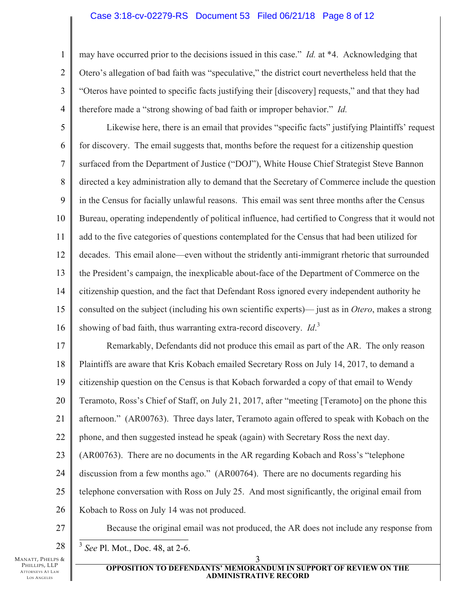## Case 3:18-cv-02279-RS Document 53 Filed 06/21/18 Page 8 of 12

may have occurred prior to the decisions issued in this case." *Id.* at \*4. Acknowledging that Otero's allegation of bad faith was "speculative," the district court nevertheless held that the "Oteros have pointed to specific facts justifying their [discovery] requests," and that they had therefore made a "strong showing of bad faith or improper behavior." *Id.*

5 6 7 8 9 10 11 12 13 14 15 16 Likewise here, there is an email that provides "specific facts" justifying Plaintiffs' request for discovery. The email suggests that, months before the request for a citizenship question surfaced from the Department of Justice ("DOJ"), White House Chief Strategist Steve Bannon directed a key administration ally to demand that the Secretary of Commerce include the question in the Census for facially unlawful reasons. This email was sent three months after the Census Bureau, operating independently of political influence, had certified to Congress that it would not add to the five categories of questions contemplated for the Census that had been utilized for decades. This email alone—even without the stridently anti-immigrant rhetoric that surrounded the President's campaign, the inexplicable about-face of the Department of Commerce on the citizenship question, and the fact that Defendant Ross ignored every independent authority he consulted on the subject (including his own scientific experts)— just as in *Otero*, makes a strong showing of bad faith, thus warranting extra-record discovery. *Id*. 3

17 18 19 20 21 22 23 24 25 26 27 Remarkably, Defendants did not produce this email as part of the AR. The only reason Plaintiffs are aware that Kris Kobach emailed Secretary Ross on July 14, 2017, to demand a citizenship question on the Census is that Kobach forwarded a copy of that email to Wendy Teramoto, Ross's Chief of Staff, on July 21, 2017, after "meeting [Teramoto] on the phone this afternoon." (AR00763). Three days later, Teramoto again offered to speak with Kobach on the phone, and then suggested instead he speak (again) with Secretary Ross the next day. (AR00763). There are no documents in the AR regarding Kobach and Ross's "telephone discussion from a few months ago." (AR00764). There are no documents regarding his telephone conversation with Ross on July 25. And most significantly, the original email from Kobach to Ross on July 14 was not produced. Because the original email was not produced, the AR does not include any response from

1

2

3

4

 $\overline{\phantom{a}}$ <sup>3</sup> *See* Pl. Mot., Doc. 48, at 2-6.

MANATT, PHELPS & PHILLIPS, LLP ATTORNEYS AT LAW LOS ANGELES

<sup>28</sup>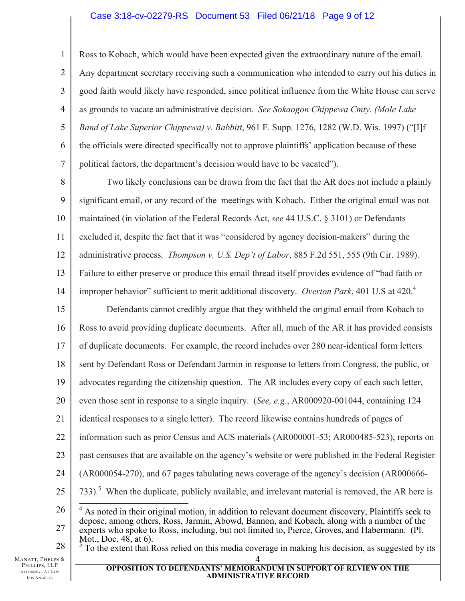## Case 3:18-cv-02279-RS Document 53 Filed 06/21/18 Page 9 of 12

4 Ross to Kobach, which would have been expected given the extraordinary nature of the email. Any department secretary receiving such a communication who intended to carry out his duties in good faith would likely have responded, since political influence from the White House can serve as grounds to vacate an administrative decision. *See Sokaogon Chippewa Cmty. (Mole Lake Band of Lake Superior Chippewa) v. Babbitt*, 961 F. Supp. 1276, 1282 (W.D. Wis. 1997) ("[I]f the officials were directed specifically not to approve plaintiffs' application because of these political factors, the department's decision would have to be vacated").

8 9 10 11 12 13 14 Two likely conclusions can be drawn from the fact that the AR does not include a plainly significant email, or any record of the meetings with Kobach. Either the original email was not maintained (in violation of the Federal Records Act, *see* 44 U.S.C. § 3101) or Defendants excluded it, despite the fact that it was "considered by agency decision-makers" during the administrative process. *Thompson v. U.S. Dep't of Labor*, 885 F.2d 551, 555 (9th Cir. 1989). Failure to either preserve or produce this email thread itself provides evidence of "bad faith or improper behavior" sufficient to merit additional discovery. *Overton Park*, 401 U.S at 420.<sup>4</sup>

15 16 17 18 19 20 21 22 23 24 25 26 27 Defendants cannot credibly argue that they withheld the original email from Kobach to Ross to avoid providing duplicate documents. After all, much of the AR it has provided consists of duplicate documents. For example, the record includes over 280 near-identical form letters sent by Defendant Ross or Defendant Jarmin in response to letters from Congress, the public, or advocates regarding the citizenship question. The AR includes every copy of each such letter, even those sent in response to a single inquiry. (*See, e.g.*, AR000920-001044, containing 124 identical responses to a single letter). The record likewise contains hundreds of pages of information such as prior Census and ACS materials (AR000001-53; AR000485-523), reports on past censuses that are available on the agency's website or were published in the Federal Register (AR000054-270), and 67 pages tabulating news coverage of the agency's decision (AR000666-  $733$ ).<sup>5</sup> When the duplicate, publicly available, and irrelevant material is removed, the AR here is <sup>4</sup> As noted in their original motion, in addition to relevant document discovery, Plaintiffs seek to depose, among others, Ross, Jarmin, Abowd, Bannon, and Kobach, along with a number of the experts who spoke to Ross, including, but not limited to, Pierce, Groves, and Habermann. (Pl.

28 Mot., Doc. 48, at 6).

MANATT, PHELPS & PHILLIPS, LLP ATTORNEYS AT LAW LOS ANGELES

1

2

3

5

6

7

 $\frac{5}{3}$  To the extent that Ross relied on this media coverage in making his decision, as suggested by its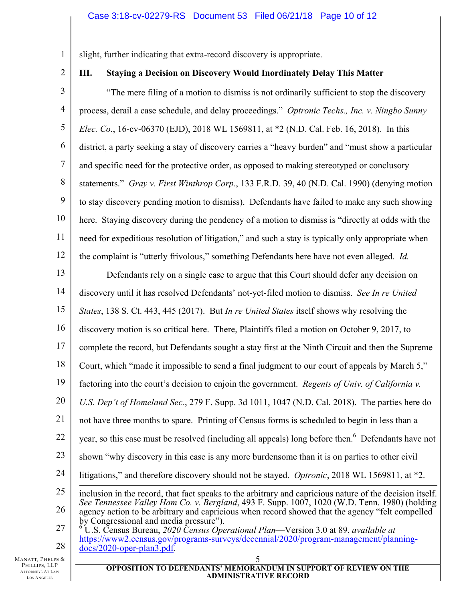slight, further indicating that extra-record discovery is appropriate.

2

1

# **III. Staying a Decision on Discovery Would Inordinately Delay This Matter**

3 4 5 6 7 8 9 10 11 12 "The mere filing of a motion to dismiss is not ordinarily sufficient to stop the discovery process, derail a case schedule, and delay proceedings." *Optronic Techs., Inc. v. Ningbo Sunny Elec. Co.*, 16-cv-06370 (EJD), 2018 WL 1569811, at \*2 (N.D. Cal. Feb. 16, 2018). In this district, a party seeking a stay of discovery carries a "heavy burden" and "must show a particular and specific need for the protective order, as opposed to making stereotyped or conclusory statements." *Gray v. First Winthrop Corp.*, 133 F.R.D. 39, 40 (N.D. Cal. 1990) (denying motion to stay discovery pending motion to dismiss). Defendants have failed to make any such showing here. Staying discovery during the pendency of a motion to dismiss is "directly at odds with the need for expeditious resolution of litigation," and such a stay is typically only appropriate when the complaint is "utterly frivolous," something Defendants here have not even alleged. *Id.*

13 14 15 16 17 18 19 20 21 22 23 24 25 26 27 Defendants rely on a single case to argue that this Court should defer any decision on discovery until it has resolved Defendants' not-yet-filed motion to dismiss. *See In re United States*, 138 S. Ct. 443, 445 (2017). But *In re United States* itself shows why resolving the discovery motion is so critical here. There, Plaintiffs filed a motion on October 9, 2017, to complete the record, but Defendants sought a stay first at the Ninth Circuit and then the Supreme Court, which "made it impossible to send a final judgment to our court of appeals by March 5," factoring into the court's decision to enjoin the government. *Regents of Univ. of California v. U.S. Dep't of Homeland Sec.*, 279 F. Supp. 3d 1011, 1047 (N.D. Cal. 2018). The parties here do not have three months to spare. Printing of Census forms is scheduled to begin in less than a year, so this case must be resolved (including all appeals) long before then.<sup>6</sup> Defendants have not shown "why discovery in this case is any more burdensome than it is on parties to other civil litigations," and therefore discovery should not be stayed. *Optronic*, 2018 WL 1569811, at \*2.  $\overline{a}$ inclusion in the record, that fact speaks to the arbitrary and capricious nature of the decision itself. *See Tennessee Valley Ham Co. v. Bergland*, 493 F. Supp. 1007, 1020 (W.D. Tenn. 1980) (holding agency action to be arbitrary and capricious when record showed that the agency "felt compelled by Congressional and media pressure"). 6 U.S. Census Bureau, *2020 Census Operational Plan*—Version 3.0 at 89, *available at* 

28 https://www2.census.gov/programs-surveys/decennial/2020/program-management/planningdocs/2020-oper-plan3.pdf.

MANATT, PHELPS & PHILLIPS, LLP ATTORNEYS AT LAW LOS ANGELES

### 5 **OPPOSITION TO DEFENDANTS' MEMORANDUM IN SUPPORT OF REVIEW ON THE ADMINISTRATIVE RECORD**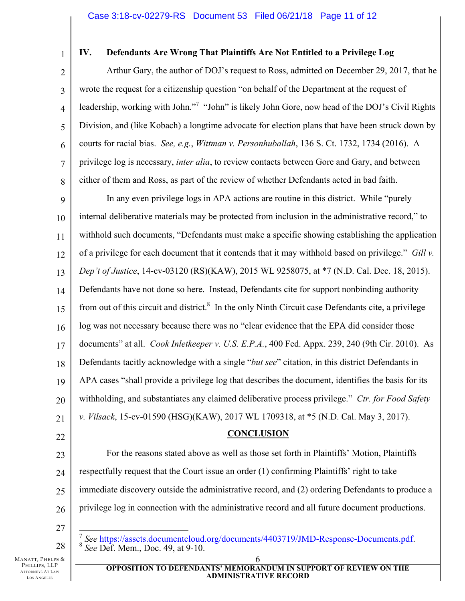1 2

3

4

5

6

7

8

# **IV. Defendants Are Wrong That Plaintiffs Are Not Entitled to a Privilege Log**

Arthur Gary, the author of DOJ's request to Ross, admitted on December 29, 2017, that he wrote the request for a citizenship question "on behalf of the Department at the request of leadership, working with John."<sup>7</sup> "John" is likely John Gore, now head of the DOJ's Civil Rights Division, and (like Kobach) a longtime advocate for election plans that have been struck down by courts for racial bias. *See, e.g.*, *Wittman v. Personhuballah*, 136 S. Ct. 1732, 1734 (2016). A privilege log is necessary, *inter alia*, to review contacts between Gore and Gary, and between either of them and Ross, as part of the review of whether Defendants acted in bad faith.

9 10 11 12 13 14 15 16 17 18 19 20 21 In any even privilege logs in APA actions are routine in this district. While "purely internal deliberative materials may be protected from inclusion in the administrative record," to withhold such documents, "Defendants must make a specific showing establishing the application of a privilege for each document that it contends that it may withhold based on privilege." *Gill v. Dep't of Justice*, 14-cv-03120 (RS)(KAW), 2015 WL 9258075, at \*7 (N.D. Cal. Dec. 18, 2015). Defendants have not done so here. Instead, Defendants cite for support nonbinding authority from out of this circuit and district. $8 \text{ In the only Ninth Circuit case Defendants cite, a privilege}$ log was not necessary because there was no "clear evidence that the EPA did consider those documents" at all. *Cook Inletkeeper v. U.S. E.P.A.*, 400 Fed. Appx. 239, 240 (9th Cir. 2010). As Defendants tacitly acknowledge with a single "*but see*" citation, in this district Defendants in APA cases "shall provide a privilege log that describes the document, identifies the basis for its withholding, and substantiates any claimed deliberative process privilege." *Ctr. for Food Safety v. Vilsack*, 15-cv-01590 (HSG)(KAW), 2017 WL 1709318, at \*5 (N.D. Cal. May 3, 2017).

# **CONCLUSION**

23 24 25 26 For the reasons stated above as well as those set forth in Plaintiffs' Motion, Plaintiffs respectfully request that the Court issue an order (1) confirming Plaintiffs' right to take immediate discovery outside the administrative record, and (2) ordering Defendants to produce a privilege log in connection with the administrative record and all future document productions.

27

28

22

MANATT, PHELPS & PHILLIPS, LLP ATTORNEYS AT LAW LOS ANGELES

 $\overline{a}$ <sup>7</sup> *See* https://assets.documentcloud.org/documents/4403719/JMD-Response-Documents.pdf. 8 *See* Def. Mem., Doc. 49, at 9-10.